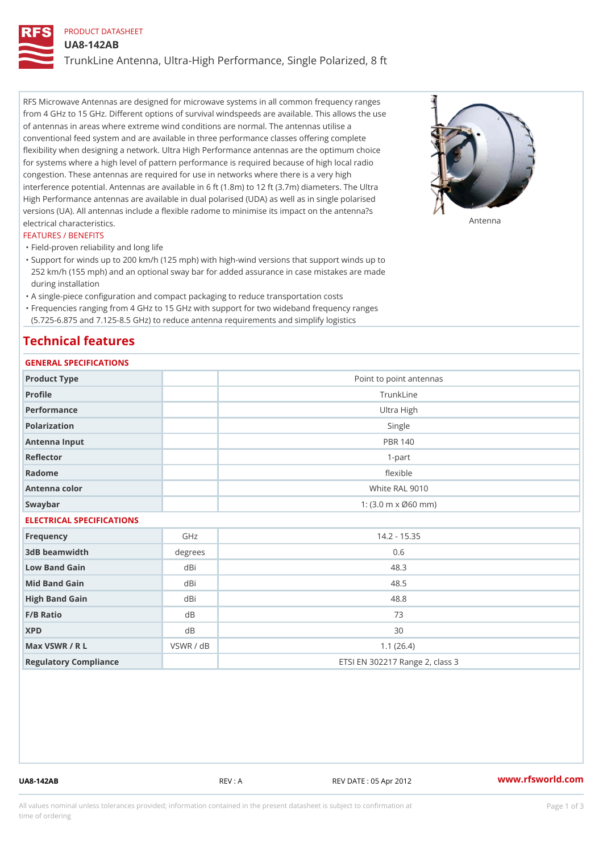# PRODUCT DATASHEET

UA8-142AB

TrunkLine Antenna, Ultra-High Performance, Single Polarized, 8 ft

RFS Microwave Antennas are designed for microwave systems in all common frequency ranges from 4 GHz to 15 GHz. Different options of survival windspeeds are available. This allows the use of antennas in areas where extreme wind conditions are normal. The antennas utilise a conventional feed system and are available in three performance classes offering complete flexibility when designing a network. Ultra High Performance antennas are the optimum choice for systems where a high level of pattern performance is required because of high local radio congestion. These antennas are required for use in networks where there is a very high interference potential. Antennas are available in 6 ft (1.8m) to 12 ft (3.7m) diameters. The Ultra High Performance antennas are available in dual polarised (UDA) as well as in single polarised versions (UA). All antennas include a flexible radome to minimise its impact on the antenna?s electrical characteristics. Antenna

### FEATURES / BENEFITS

"Field-proven reliability and long life

- Support for winds up to 200 km/h (125 mph) with high-wind versions that support winds up to " 252 km/h (155 mph) and an optional sway bar for added assurance in case mistakes are made during installation
- "A single-piece configuration and compact packaging to reduce transportation costs
- Frequencies ranging from 4 GHz to 15 GHz with support for two wideband frequency ranges "
- (5.725-6.875 and 7.125-8.5 GHz) to reduce antenna requirements and simplify logistics

## Technical features

## GENERAL SPECIFICATIONS

| OLIVERAL OF LOTITUATIONS  |                |                                                         |  |  |
|---------------------------|----------------|---------------------------------------------------------|--|--|
| Product Type              |                | Point to point antennas                                 |  |  |
| Profile                   | TrunkLine      |                                                         |  |  |
| Performance               | Ultra High     |                                                         |  |  |
| Polarization              |                | Single                                                  |  |  |
| Antenna Input             | <b>PBR 140</b> |                                                         |  |  |
| Reflector                 | $1 - p$ art    |                                                         |  |  |
| Radome                    |                | flexible                                                |  |  |
| Antenna color             |                | White RAL 9010                                          |  |  |
| Swaybar                   |                | 1: $(3.0 \, \text{m} \times \emptyset 60 \, \text{mm})$ |  |  |
| ELECTRICAL SPECIFICATIONS |                |                                                         |  |  |
| Frequency                 | GHz            | $14.2 - 15.35$                                          |  |  |
| 3dB beamwidth             | degrees        | 0.6                                                     |  |  |
| Low Band Gain             | dBi            | 48.3                                                    |  |  |
| Mid Band Gain             | dBi            | 48.5                                                    |  |  |
| High Band Gain            | dBi            | 48.8                                                    |  |  |
| F/B Ratio                 | $d$ B          | 73                                                      |  |  |
| <b>XPD</b>                | $d$ B          | 30                                                      |  |  |
| Max VSWR / R L            | VSWR / dB      | 1.1(26.4)                                               |  |  |
| Regulatory Compliance     |                | ETSI EN 302217 Range 2, class 3                         |  |  |

UA8-142AB REV : A REV DATE : 05 Apr 2012 [www.](https://www.rfsworld.com)rfsworld.com

All values nominal unless tolerances provided; information contained in the present datasheet is subject to Pcapgeign mation time of ordering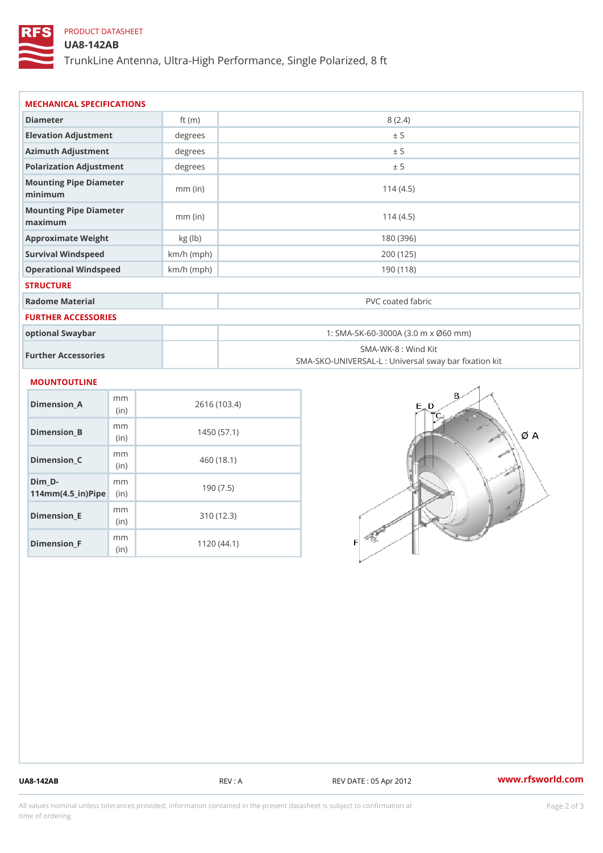## PRODUCT DATASHEET

## UA8-142AB

TrunkLine Antenna, Ultra-High Performance, Single Polarized, 8 ft

| MECHANICAL SPECIFICATIONS                       |              |                                                                          |  |
|-------------------------------------------------|--------------|--------------------------------------------------------------------------|--|
| Diameter                                        | ft $(m)$     | 8(2.4)                                                                   |  |
| Elevation Adjustment                            | degrees      | ± 5                                                                      |  |
| Azimuth Adjustment                              | degrees      | ± 5                                                                      |  |
| Polarization Adjustment                         | degrees      | ± 5                                                                      |  |
| Mounting Pipe Diameter<br>minimum               | $mm$ (in)    | 114(4.5)                                                                 |  |
| Mounting Pipe Diameter<br>maximum               | $mm$ (in)    | 114(4.5)                                                                 |  |
| Approximate Weight                              | kg (lb)      | 180 (396)                                                                |  |
| Survival Windspeed                              | $km/h$ (mph) | 200 (125)                                                                |  |
| Operational Windspeed                           | $km/h$ (mph) | 190(118)                                                                 |  |
| <b>STRUCTURE</b>                                |              |                                                                          |  |
| Radome Material                                 |              | PVC coated fabric                                                        |  |
| <b>FURTHER ACCESSORIES</b>                      |              |                                                                          |  |
| optional Swaybar                                |              | 1: SMA-SK-60-3000A (3.0 m x Ø60 mm)                                      |  |
| Further Accessories                             |              | SMA-WK-8 : Wind Kit<br>SMA-SKO-UNIVERSAL-L : Universal sway bar fixation |  |
| MOUNTOUTLINE                                    |              |                                                                          |  |
| m m<br>Dimension_A<br>(in)                      |              | 2616 (103.4)                                                             |  |
| m m<br>$Dimension_B$<br>(in)                    |              | 1450(57.1)                                                               |  |
| m m<br>$Dimension_C$<br>(in)                    |              | 460 (18.1)                                                               |  |
| $Dim_D - D -$<br>m m<br>$114mm(4.5_{ir})$ $Rip$ |              | 190(7.5)                                                                 |  |
| m m<br><b>Britain and Contract Contract</b>     |              | 0.401400                                                                 |  |

Dimension\_E

Dimension\_F

(in)

m<sub>m</sub> (in)

310 (12.3)

1120 (44.1)

UA8-142AB REV : A REV : A REV DATE : 05 Apr 2012 WWW.rfsworld.com